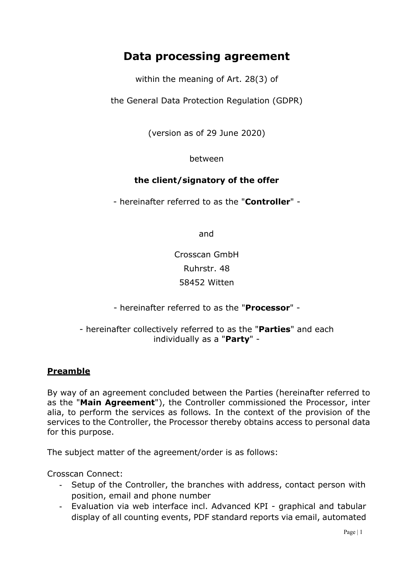## **Data processing agreement**

within the meaning of Art. 28(3) of

the General Data Protection Regulation (GDPR)

(version as of 29 June 2020)

between

#### **the client/signatory of the offer**

- hereinafter referred to as the "**Controller**" -

and

Crosscan GmbH Ruhrstr. 48 58452 Witten

- hereinafter referred to as the "**Processor**" -

#### - hereinafter collectively referred to as the "**Parties**" and each individually as a "**Party**" -

#### **Preamble**

By way of an agreement concluded between the Parties (hereinafter referred to as the "**Main Agreement**"), the Controller commissioned the Processor, inter alia, to perform the services as follows*.* In the context of the provision of the services to the Controller, the Processor thereby obtains access to personal data for this purpose.

The subject matter of the agreement/order is as follows:

Crosscan Connect:

- Setup of the Controller, the branches with address, contact person with position, email and phone number
- Evaluation via web interface incl. Advanced KPI graphical and tabular display of all counting events, PDF standard reports via email, automated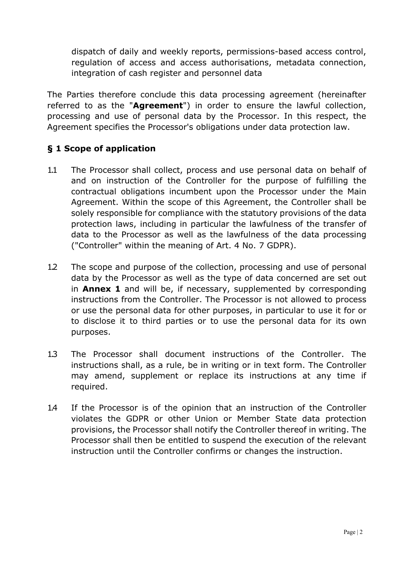dispatch of daily and weekly reports, permissions-based access control, regulation of access and access authorisations, metadata connection, integration of cash register and personnel data

The Parties therefore conclude this data processing agreement (hereinafter referred to as the "**Agreement**") in order to ensure the lawful collection, processing and use of personal data by the Processor. In this respect, the Agreement specifies the Processor's obligations under data protection law.

#### **§ 1 Scope of application**

- 1.1 The Processor shall collect, process and use personal data on behalf of and on instruction of the Controller for the purpose of fulfilling the contractual obligations incumbent upon the Processor under the Main Agreement. Within the scope of this Agreement, the Controller shall be solely responsible for compliance with the statutory provisions of the data protection laws, including in particular the lawfulness of the transfer of data to the Processor as well as the lawfulness of the data processing ("Controller" within the meaning of Art. 4 No. 7 GDPR).
- 1.2 The scope and purpose of the collection, processing and use of personal data by the Processor as well as the type of data concerned are set out in **Annex 1** and will be, if necessary, supplemented by corresponding instructions from the Controller. The Processor is not allowed to process or use the personal data for other purposes, in particular to use it for or to disclose it to third parties or to use the personal data for its own purposes.
- 1.3 The Processor shall document instructions of the Controller. The instructions shall, as a rule, be in writing or in text form. The Controller may amend, supplement or replace its instructions at any time if required.
- 1.4 If the Processor is of the opinion that an instruction of the Controller violates the GDPR or other Union or Member State data protection provisions, the Processor shall notify the Controller thereof in writing. The Processor shall then be entitled to suspend the execution of the relevant instruction until the Controller confirms or changes the instruction.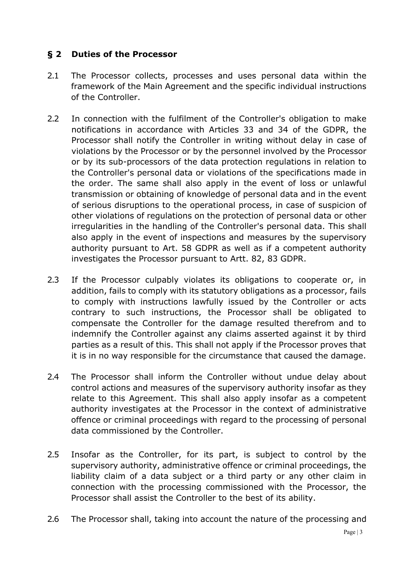#### **§ 2 Duties of the Processor**

- 2.1 The Processor collects, processes and uses personal data within the framework of the Main Agreement and the specific individual instructions of the Controller.
- 2.2 In connection with the fulfilment of the Controller's obligation to make notifications in accordance with Articles 33 and 34 of the GDPR, the Processor shall notify the Controller in writing without delay in case of violations by the Processor or by the personnel involved by the Processor or by its sub-processors of the data protection regulations in relation to the Controller's personal data or violations of the specifications made in the order. The same shall also apply in the event of loss or unlawful transmission or obtaining of knowledge of personal data and in the event of serious disruptions to the operational process, in case of suspicion of other violations of regulations on the protection of personal data or other irregularities in the handling of the Controller's personal data. This shall also apply in the event of inspections and measures by the supervisory authority pursuant to Art. 58 GDPR as well as if a competent authority investigates the Processor pursuant to Artt. 82, 83 GDPR.
- 2.3 If the Processor culpably violates its obligations to cooperate or, in addition, fails to comply with its statutory obligations as a processor, fails to comply with instructions lawfully issued by the Controller or acts contrary to such instructions, the Processor shall be obligated to compensate the Controller for the damage resulted therefrom and to indemnify the Controller against any claims asserted against it by third parties as a result of this. This shall not apply if the Processor proves that it is in no way responsible for the circumstance that caused the damage.
- 2.4 The Processor shall inform the Controller without undue delay about control actions and measures of the supervisory authority insofar as they relate to this Agreement. This shall also apply insofar as a competent authority investigates at the Processor in the context of administrative offence or criminal proceedings with regard to the processing of personal data commissioned by the Controller.
- 2.5 Insofar as the Controller, for its part, is subject to control by the supervisory authority, administrative offence or criminal proceedings, the liability claim of a data subject or a third party or any other claim in connection with the processing commissioned with the Processor, the Processor shall assist the Controller to the best of its ability.
- 2.6 The Processor shall, taking into account the nature of the processing and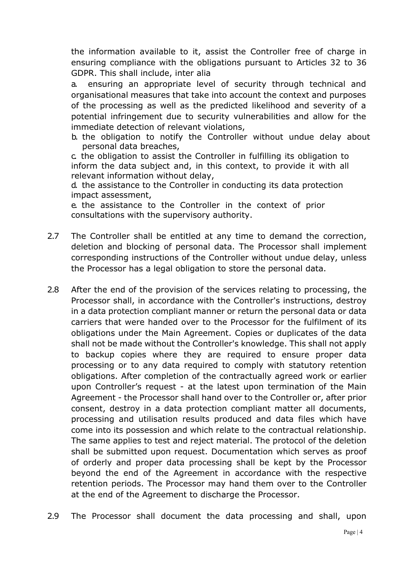the information available to it, assist the Controller free of charge in ensuring compliance with the obligations pursuant to Articles 32 to 36 GDPR. This shall include, inter alia

a. ensuring an appropriate level of security through technical and organisational measures that take into account the context and purposes of the processing as well as the predicted likelihood and severity of a potential infringement due to security vulnerabilities and allow for the immediate detection of relevant violations,

b. the obligation to notify the Controller without undue delay about personal data breaches,

c. the obligation to assist the Controller in fulfilling its obligation to inform the data subject and, in this context, to provide it with all relevant information without delay,

d. the assistance to the Controller in conducting its data protection impact assessment,

e. the assistance to the Controller in the context of prior consultations with the supervisory authority.

- 2.7 The Controller shall be entitled at any time to demand the correction, deletion and blocking of personal data. The Processor shall implement corresponding instructions of the Controller without undue delay, unless the Processor has a legal obligation to store the personal data.
- 2.8 After the end of the provision of the services relating to processing, the Processor shall, in accordance with the Controller's instructions, destroy in a data protection compliant manner or return the personal data or data carriers that were handed over to the Processor for the fulfilment of its obligations under the Main Agreement. Copies or duplicates of the data shall not be made without the Controller's knowledge. This shall not apply to backup copies where they are required to ensure proper data processing or to any data required to comply with statutory retention obligations. After completion of the contractually agreed work or earlier upon Controller's request - at the latest upon termination of the Main Agreement - the Processor shall hand over to the Controller or, after prior consent, destroy in a data protection compliant matter all documents, processing and utilisation results produced and data files which have come into its possession and which relate to the contractual relationship. The same applies to test and reject material. The protocol of the deletion shall be submitted upon request. Documentation which serves as proof of orderly and proper data processing shall be kept by the Processor beyond the end of the Agreement in accordance with the respective retention periods. The Processor may hand them over to the Controller at the end of the Agreement to discharge the Processor.
- 2.9 The Processor shall document the data processing and shall, upon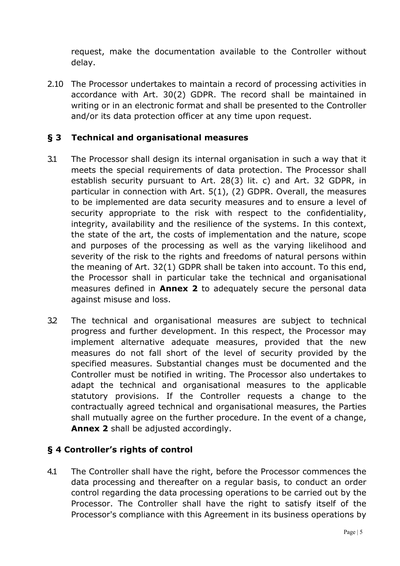request, make the documentation available to the Controller without delay.

2.10 The Processor undertakes to maintain a record of processing activities in accordance with Art. 30(2) GDPR. The record shall be maintained in writing or in an electronic format and shall be presented to the Controller and/or its data protection officer at any time upon request.

#### **§ 3 Technical and organisational measures**

- 3.1 The Processor shall design its internal organisation in such a way that it meets the special requirements of data protection. The Processor shall establish security pursuant to Art. 28(3) lit. c) and Art. 32 GDPR, in particular in connection with Art. 5(1), (2) GDPR. Overall, the measures to be implemented are data security measures and to ensure a level of security appropriate to the risk with respect to the confidentiality, integrity, availability and the resilience of the systems. In this context, the state of the art, the costs of implementation and the nature, scope and purposes of the processing as well as the varying likelihood and severity of the risk to the rights and freedoms of natural persons within the meaning of Art. 32(1) GDPR shall be taken into account. To this end, the Processor shall in particular take the technical and organisational measures defined in **Annex 2** to adequately secure the personal data against misuse and loss.
- 3.2 The technical and organisational measures are subject to technical progress and further development. In this respect, the Processor may implement alternative adequate measures, provided that the new measures do not fall short of the level of security provided by the specified measures. Substantial changes must be documented and the Controller must be notified in writing. The Processor also undertakes to adapt the technical and organisational measures to the applicable statutory provisions. If the Controller requests a change to the contractually agreed technical and organisational measures, the Parties shall mutually agree on the further procedure. In the event of a change, **Annex 2** shall be adjusted accordingly.

#### **§ 4 Controller's rights of control**

4.1 The Controller shall have the right, before the Processor commences the data processing and thereafter on a regular basis, to conduct an order control regarding the data processing operations to be carried out by the Processor. The Controller shall have the right to satisfy itself of the Processor's compliance with this Agreement in its business operations by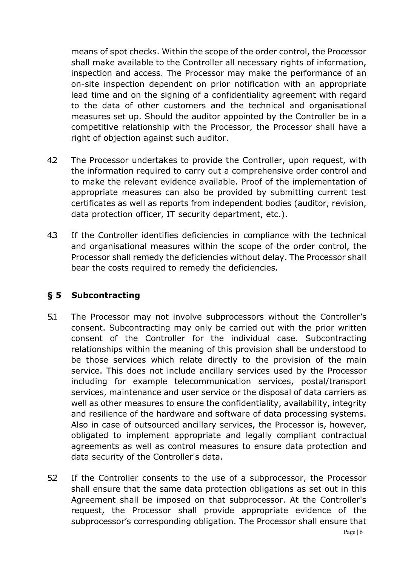means of spot checks. Within the scope of the order control, the Processor shall make available to the Controller all necessary rights of information, inspection and access. The Processor may make the performance of an on-site inspection dependent on prior notification with an appropriate lead time and on the signing of a confidentiality agreement with regard to the data of other customers and the technical and organisational measures set up. Should the auditor appointed by the Controller be in a competitive relationship with the Processor, the Processor shall have a right of objection against such auditor.

- 4.2 The Processor undertakes to provide the Controller, upon request, with the information required to carry out a comprehensive order control and to make the relevant evidence available. Proof of the implementation of appropriate measures can also be provided by submitting current test certificates as well as reports from independent bodies (auditor, revision, data protection officer, IT security department, etc.).
- 4.3 If the Controller identifies deficiencies in compliance with the technical and organisational measures within the scope of the order control, the Processor shall remedy the deficiencies without delay. The Processor shall bear the costs required to remedy the deficiencies.

#### **§ 5 Subcontracting**

- 5.1 The Processor may not involve subprocessors without the Controller's consent. Subcontracting may only be carried out with the prior written consent of the Controller for the individual case. Subcontracting relationships within the meaning of this provision shall be understood to be those services which relate directly to the provision of the main service. This does not include ancillary services used by the Processor including for example telecommunication services, postal/transport services, maintenance and user service or the disposal of data carriers as well as other measures to ensure the confidentiality, availability, integrity and resilience of the hardware and software of data processing systems. Also in case of outsourced ancillary services, the Processor is, however, obligated to implement appropriate and legally compliant contractual agreements as well as control measures to ensure data protection and data security of the Controller's data.
- 5.2 If the Controller consents to the use of a subprocessor, the Processor shall ensure that the same data protection obligations as set out in this Agreement shall be imposed on that subprocessor. At the Controller's request, the Processor shall provide appropriate evidence of the subprocessor's corresponding obligation. The Processor shall ensure that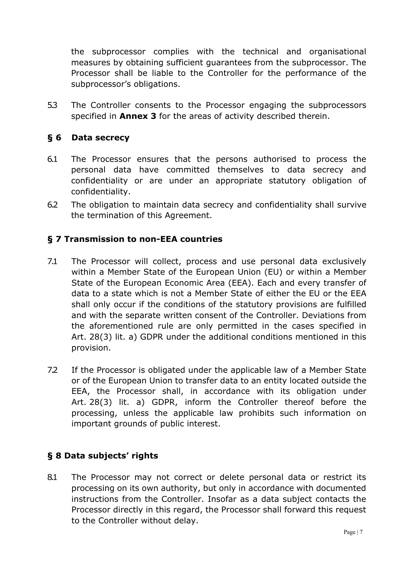the subprocessor complies with the technical and organisational measures by obtaining sufficient guarantees from the subprocessor. The Processor shall be liable to the Controller for the performance of the subprocessor's obligations.

5.3 The Controller consents to the Processor engaging the subprocessors specified in **Annex 3** for the areas of activity described therein.

#### **§ 6 Data secrecy**

- 6.1 The Processor ensures that the persons authorised to process the personal data have committed themselves to data secrecy and confidentiality or are under an appropriate statutory obligation of confidentiality.
- 6.2 The obligation to maintain data secrecy and confidentiality shall survive the termination of this Agreement.

#### **§ 7 Transmission to non-EEA countries**

- 7.1 The Processor will collect, process and use personal data exclusively within a Member State of the European Union (EU) or within a Member State of the European Economic Area (EEA). Each and every transfer of data to a state which is not a Member State of either the EU or the EEA shall only occur if the conditions of the statutory provisions are fulfilled and with the separate written consent of the Controller. Deviations from the aforementioned rule are only permitted in the cases specified in Art. 28(3) lit. a) GDPR under the additional conditions mentioned in this provision.
- 7.2 If the Processor is obligated under the applicable law of a Member State or of the European Union to transfer data to an entity located outside the EEA, the Processor shall, in accordance with its obligation under Art. 28(3) lit. a) GDPR, inform the Controller thereof before the processing, unless the applicable law prohibits such information on important grounds of public interest.

## **§ 8 Data subjects' rights**

8.1 The Processor may not correct or delete personal data or restrict its processing on its own authority, but only in accordance with documented instructions from the Controller. Insofar as a data subject contacts the Processor directly in this regard, the Processor shall forward this request to the Controller without delay.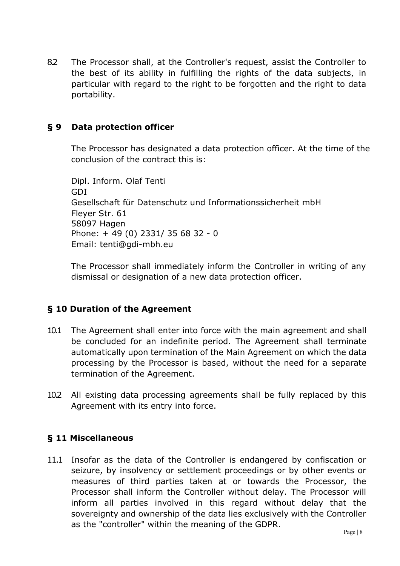8.2 The Processor shall, at the Controller's request, assist the Controller to the best of its ability in fulfilling the rights of the data subjects, in particular with regard to the right to be forgotten and the right to data portability.

#### **§ 9 Data protection officer**

The Processor has designated a data protection officer. At the time of the conclusion of the contract this is:

Dipl. Inform. Olaf Tenti GDI Gesellschaft für Datenschutz und Informationssicherheit mbH Fleyer Str. 61 58097 Hagen Phone: + 49 (0) 2331/ 35 68 32 - 0 Email: tenti@gdi-mbh.eu

The Processor shall immediately inform the Controller in writing of any dismissal or designation of a new data protection officer.

#### **§ 10 Duration of the Agreement**

- 10.1 The Agreement shall enter into force with the main agreement and shall be concluded for an indefinite period. The Agreement shall terminate automatically upon termination of the Main Agreement on which the data processing by the Processor is based, without the need for a separate termination of the Agreement.
- 10.2 All existing data processing agreements shall be fully replaced by this Agreement with its entry into force.

#### **§ 11 Miscellaneous**

11.1 Insofar as the data of the Controller is endangered by confiscation or seizure, by insolvency or settlement proceedings or by other events or measures of third parties taken at or towards the Processor, the Processor shall inform the Controller without delay. The Processor will inform all parties involved in this regard without delay that the sovereignty and ownership of the data lies exclusively with the Controller as the "controller" within the meaning of the GDPR.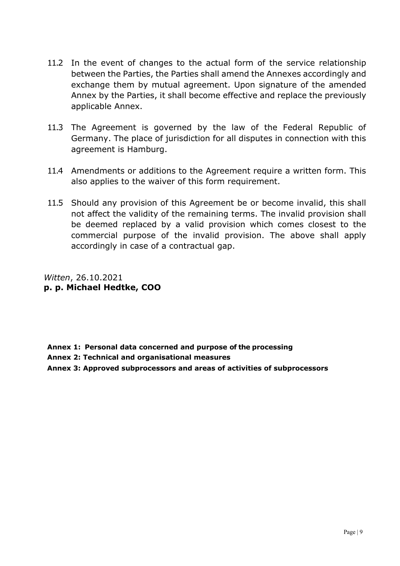- 11.2 In the event of changes to the actual form of the service relationship between the Parties, the Parties shall amend the Annexes accordingly and exchange them by mutual agreement. Upon signature of the amended Annex by the Parties, it shall become effective and replace the previously applicable Annex.
- 11.3 The Agreement is governed by the law of the Federal Republic of Germany. The place of jurisdiction for all disputes in connection with this agreement is Hamburg.
- 11.4 Amendments or additions to the Agreement require a written form. This also applies to the waiver of this form requirement.
- 11.5 Should any provision of this Agreement be or become invalid, this shall not affect the validity of the remaining terms. The invalid provision shall be deemed replaced by a valid provision which comes closest to the commercial purpose of the invalid provision. The above shall apply accordingly in case of a contractual gap.

*Witten*, 26.10.2021 **p. p. Michael Hedtke, COO** 

**Annex 1: Personal data concerned and purpose of the processing**

**Annex 2: Technical and organisational measures**

**Annex 3: Approved subprocessors and areas of activities of subprocessors**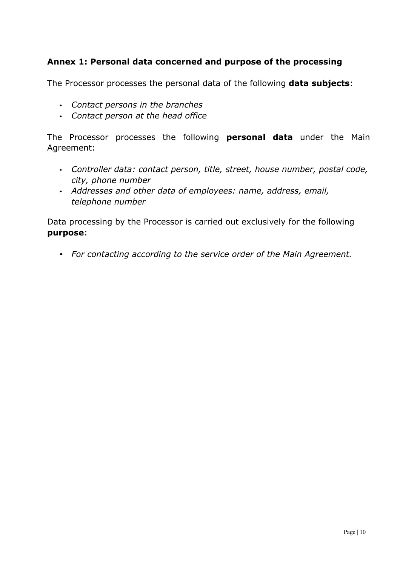#### **Annex 1: Personal data concerned and purpose of the processing**

The Processor processes the personal data of the following **data subjects**:

- *Contact persons in the branches*
- *Contact person at the head office*

The Processor processes the following **personal data** under the Main Agreement:

- *Controller data: contact person, title, street, house number, postal code, city, phone number*
- *Addresses and other data of employees: name, address, email, telephone number*

Data processing by the Processor is carried out exclusively for the following **purpose**:

• *For contacting according to the service order of the Main Agreement.*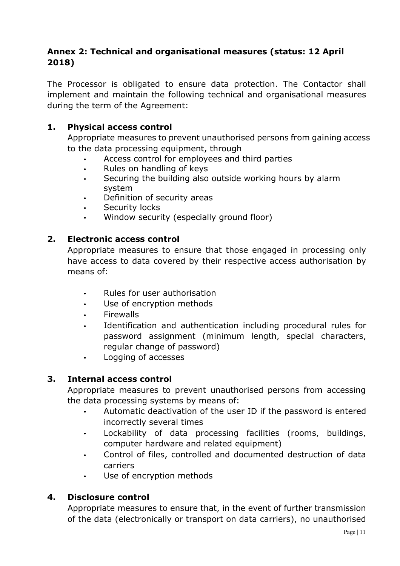#### **Annex 2: Technical and organisational measures (status: 12 April 2018)**

The Processor is obligated to ensure data protection. The Contactor shall implement and maintain the following technical and organisational measures during the term of the Agreement:

#### **1. Physical access control**

Appropriate measures to prevent unauthorised persons from gaining access to the data processing equipment, through

- Access control for employees and third parties
- Rules on handling of keys
- Securing the building also outside working hours by alarm system
- Definition of security areas
- Security locks
- Window security (especially ground floor)

#### **2. Electronic access control**

Appropriate measures to ensure that those engaged in processing only have access to data covered by their respective access authorisation by means of:

- Rules for user authorisation
- Use of encryption methods
- Firewalls
- Identification and authentication including procedural rules for password assignment (minimum length, special characters, regular change of password)
- Logging of accesses

#### **3. Internal access control**

Appropriate measures to prevent unauthorised persons from accessing the data processing systems by means of:

- Automatic deactivation of the user ID if the password is entered incorrectly several times
- Lockability of data processing facilities (rooms, buildings, computer hardware and related equipment)
- Control of files, controlled and documented destruction of data carriers
- Use of encryption methods

#### **4. Disclosure control**

Appropriate measures to ensure that, in the event of further transmission of the data (electronically or transport on data carriers), no unauthorised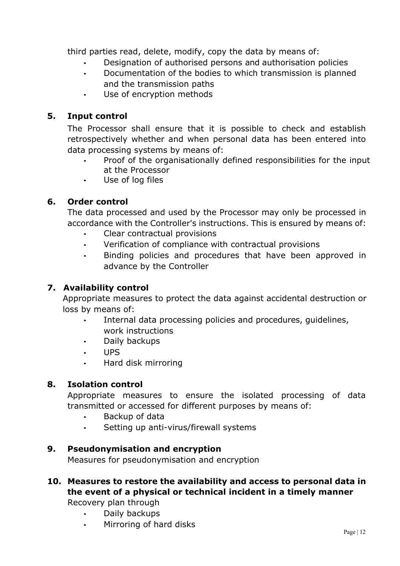third parties read, delete, modify, copy the data by means of:

- Designation of authorised persons and authorisation policies
- Documentation of the bodies to which transmission is planned and the transmission paths
- Use of encryption methods

## **5. Input control**

The Processor shall ensure that it is possible to check and establish retrospectively whether and when personal data has been entered into data processing systems by means of:

- Proof of the organisationally defined responsibilities for the input at the Processor
- Use of log files

#### **6. Order control**

The data processed and used by the Processor may only be processed in accordance with the Controller's instructions. This is ensured by means of:

- Clear contractual provisions
- Verification of compliance with contractual provisions
- Binding policies and procedures that have been approved in advance by the Controller

## **7. Availability control**

Appropriate measures to protect the data against accidental destruction or loss by means of:

- Internal data processing policies and procedures, quidelines, work instructions
- Daily backups
- UPS
- Hard disk mirroring

#### **8. Isolation control**

Appropriate measures to ensure the isolated processing of data transmitted or accessed for different purposes by means of:

- Backup of data
- Setting up anti-virus/firewall systems

#### **9. Pseudonymisation and encryption**

Measures for pseudonymisation and encryption

# **10. Measures to restore the availability and access to personal data in the event of a physical or technical incident in a timely manner**

Recovery plan through

- Daily backups
- Mirroring of hard disks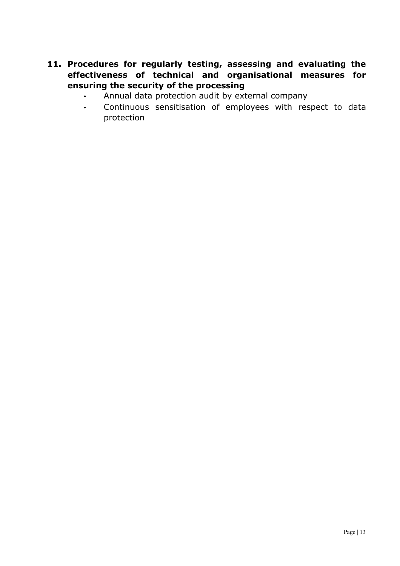#### **11. Procedures for regularly testing, assessing and evaluating the effectiveness of technical and organisational measures for ensuring the security of the processing**

- Annual data protection audit by external company
- Continuous sensitisation of employees with respect to data protection